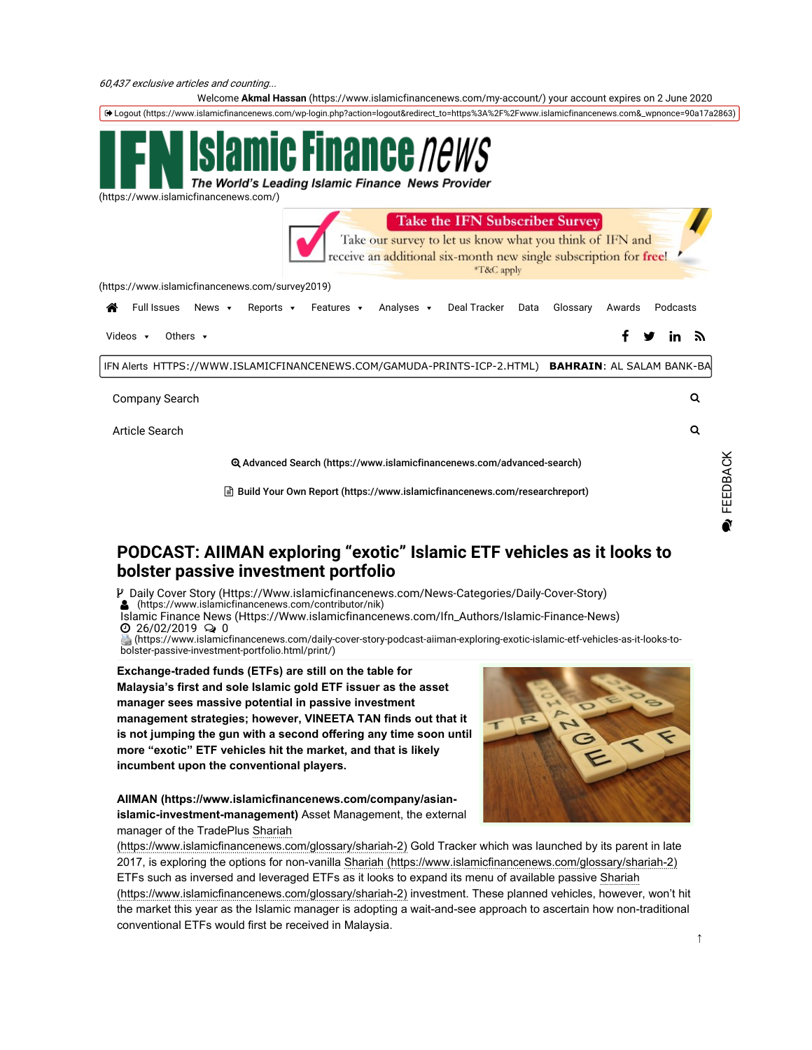Welcome Akmal Hassan (https://www.islamicfinancenews.com/my-account/) your account expires on 2 June 2020

Logout (https://www.islamicfinancenews.com/wp-login.php?action=logout&redirect\_to=https%3A%2F%2Fwww.islamicfinancenews.com&\_wpnonce=90a17a2863)



(https://www.islamicfinancenews.com/)

| Take the IFN Subscriber Survey<br>Take our survey to let us know what you think of IFN and<br>receive an additional six-month new single subscription for free!<br>*T&C apply |                                  |               |
|-------------------------------------------------------------------------------------------------------------------------------------------------------------------------------|----------------------------------|---------------|
| (https://www.islamicfinancenews.com/survey2019)                                                                                                                               |                                  |               |
| Deal Tracker<br>Full Issues<br>Reports $\cdot$<br>Analyses v<br>Glossary<br>News <b>v</b><br>Features v<br>Data<br>☎                                                          | Podcasts<br>Awards               |               |
| Others $\cdot$<br>Videos $\blacktriangledown$                                                                                                                                 | v<br>in $y$                      |               |
| IFN Alerts HTTPS://WWW.ISLAMICFINANCENEWS.COM/GAMUDA-PRINTS-ICP-2.HTML)                                                                                                       | <b>BAHRAIN: AL SALAM BANK-BA</b> |               |
| Company Search                                                                                                                                                                | Q                                |               |
| Article Search                                                                                                                                                                | Q                                |               |
| <b>@ Advanced Search (https://www.islamicfinancenews.com/advanced-search)</b>                                                                                                 |                                  | <b>ACK</b>    |
| न्ति Build Your Own Report (https://www.islamicfinancenews.com/researchreport)                                                                                                |                                  | <u>ය</u><br>ධ |

## PODCAST: AIIMAN exploring "exotic" Islamic ETF vehicles as it looks to bolster passive investment portfolio

Daily Cover Story (Https://Www.islamicfinancenews.com/News-Categories/Daily-Cover-Story)

(https://www.islamicfinancenews.com/contributor/nik)

Islamic Finance News (Https://Www.islamicfinancenews.com/Ifn\_Authors/Islamic-Finance-News) 26/02/2019 <sup>0</sup>

 (https://www.islamicfinancenews.com/daily-cover-story-podcast-aiiman-exploring-exotic-islamic-etf-vehicles-as-it-looks-tobolster-passive-investment-portfolio.html/print/)

Exchange-traded funds (ETFs) are still on the table for Malaysia's first and sole Islamic gold ETF issuer as the asset manager sees massive potential in passive investment management strategies; however, VINEETA TAN finds out that it is not jumping the gun with a second offering any time soon until more "exotic" ETF vehicles hit the market, and that is likely incumbent upon the conventional players.

AIIMAN (https://www.islamicfinancenews.com/company/asianislamic-investment-management) Asset Management, the external manager of the TradePlus Shariah



(https://www.islamicfinancenews.com/glossary/shariah-2) Gold Tracker which was launched by its parent in late 2017, is exploring the options for non-vanilla Shariah (https://www.islamicfinancenews.com/glossary/shariah-2) ETFs such as inversed and leveraged ETFs as it looks to expand its menu of available passive Shariah (https://www.islamicfinancenews.com/glossary/shariah-2) investment. These planned vehicles, however, won't hit the market this year as the Islamic manager is adopting a wait-and-see approach to ascertain how non-traditional conventional ETFs would first be received in Malaysia.